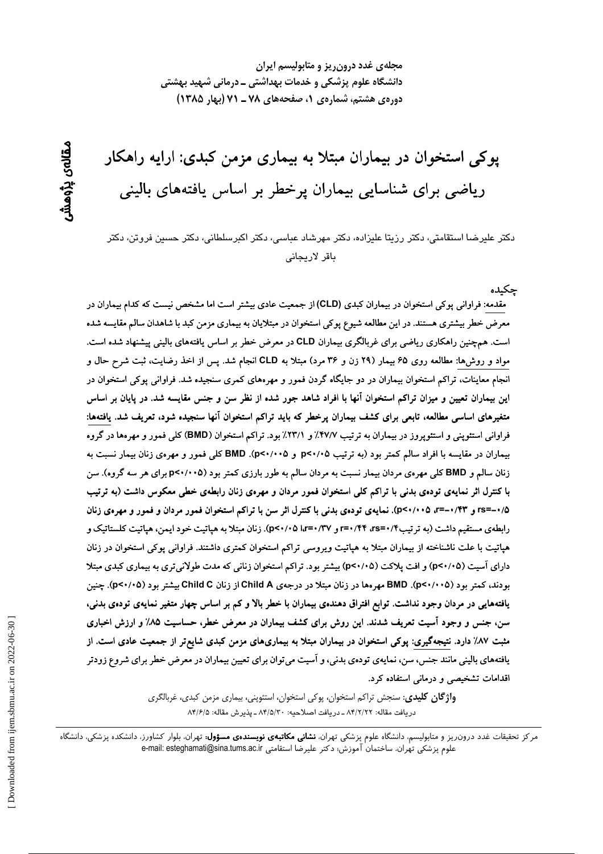مجلهی غدد درون ریز و متابولیسم ایران دانشگاه علوم پزشکی و خدمات بهداشتی ـ درمانی شهید بهشتی دوره ی هشتم، شماره ی ۱، صفحههای ۷۸ ـ ۷۱ (بهار ۱۳۸۵)

پوکی استخوان در بیماران مبتلا به بیماری مزمن کبدی: ارایه راهکار ریاضی برای شناسایی بیماران پرخطر بر اساس یافتههای بالینی

دكتر عليرضا استقامتي، دكتر رزيتا عليزاده، دكتر مهرشاد عباسي، دكتر اكبرسلطاني، دكتر حسين فروتن، دكتر باقر لاريجانى

چكىدە مقدمه: فراوانی بوکی استخوان در بیماران کبدی (CLD) از جمعیت عادی بیشتر است اما مشخص نیست که کدام بیماران در معرض خطر بیشتری هستند. در این مطالعه شیوع پوکی استخوان در مبتلایان به بیماری مزمن کبد با شاهدان سالم مقایسه شده است. همچنین راهکاری ریاضی برای غربالگری بیماران CLD در معرض خطر بر اساس یافتههای بالینی پیشنهاد شده است. مواد و روشها: مطالعه روی ۶۵ بیمار (۲۹ زن و ۳۶ مرد) مبتلا به CLD انجام شد. پس از اخذ رضایت، ثبت شرح حال و انجام معاینات، تراکم استخوان بیماران در دو جایگاه گردن فمور و مهرههای کمری سنجیده شد. فراوانی پوکی استخوان در این بیماران تعیین و میزان تراکم استخوان آنها با افراد شاهد جور شده از نظر سن و جنس مقایسه شد. در پایان بر اساس متغیرهای اساسی مطالعه، تابعی برای کشف بیماران پرخطر که باید تراکم استخوان آنها سنجیده شود، تعریف شد. یافتهها: فراوانی استئوپنی و استئوپروز در بیماران به ترتیب ۴۷/۷٪ و ۲۳/۱٪ بود. تراکم استخوان (BMD) کلی فمور و مهرهها در گروه بیماران در مقایسه با افراد سالم کمتر بود (به ترتیب p<۰/۰۵ و p<۰/۰۰۵). BMD کلی فمور و مهرهی زنان بیمار نسبت به زنان سالم و BMD کلی مهرهی مردان بیمار نسبت به مردان سالم به طور بارزی کمتر بود (p<۰/۰۰۵ برای هر سه گروه). سن با کنترل اثر نمایهی تودهی بدنی با تراکم کلی استخوان فمور مردان و مهرهی زنان رابطهی خطی معکوس داشت (به ترتیب ۰/۵–rs= و ۰/۴۳–r=، ۵×۰/۰۰). نمایهی تودهی بدنی با کنترل اثر سن با تراکم استخوان فمور مردان و فمور و مهرهی زنان رابطهی مستقیم داشت (به تر تیب۴۴/۳۵۵-۳۰/۴۴ و ۳۷/۰۲۵ (۵۲۰/۰۵). زنان مبتلا به هیاتیت خود ایمن، هیاتیت کلستاتیک و هپاتیت با علت ناشناخته از بیماران مبتلا به هپاتیت ویروسی تراکم استخوان کمتری داشتند. فراوانی پوکی استخوان در زنان دارای آسیت (p<۰/۰۵) و افت پلاکت (p<۰/۰۵) بیشتر بود. تراکم استخوان زنانی که مدت طولانی تری به بیماری کبدی مبتلا بودند، کمتر بود (p<۰/۰۰۵). BMD مهرهها در زنان مبتلا در درجهی Child A از زنان Child C بیشتر بود (p<۰/۰۵). چنین یافتههایی در مردان وجود نداشت. توابع افتراق دهندهی بیماران با خطر بالا و کم بر اساس چهار متغیر نمایهی تودهی بدنی، سن، جنس و وجود اسیت تعریف شدند. این روش برای کشف بیماران در معرض خطر، حساسیت ۸۵٪ و ارزش اخباری مثبت ۸۷٪ دارد. نتیجهگیری: پوکی استخوان در بیماران مبتلا به بیماریهای مزمن کبدی شایعتر از جمعیت عادی است. از یافتههای بالینی مانند جنس، سن، نمایهی تودهی بدنی، و آسیت میتوان برای تعیین بیماران در معرض خطر برای شروع زودتر اقدامات تشخیصی و درمانی استفاده کرد.

> **واژگان کلیدی**: سنجش تراکم استخوان، پوکی استخوان، استئوپنی، بیماری مزمن کبدی، غربالگری دريافت مقاله: ٨۴/٢/٢٢ ـ دريافت اصلاحيه: ٨۴/٥/٣٠ ـ پذيرش مقاله: ٨۴/۶/٥

مرکز تحقیقات غدد درون٫یز و متابولیسم، دانشگاه علوم پزشکی تهران، **نشانی مکاتبهی نویسندهی مسؤول:** تهران، بلوار کشاورز، دانشکده پزشکی، دانشگاه علوم يزشكي تهران، ساختمان آموزش؛ دكتر عليرضا استقامتي e-mail: esteghamati@sina.tums.ac.ir

مقالەي پڑوھىنىر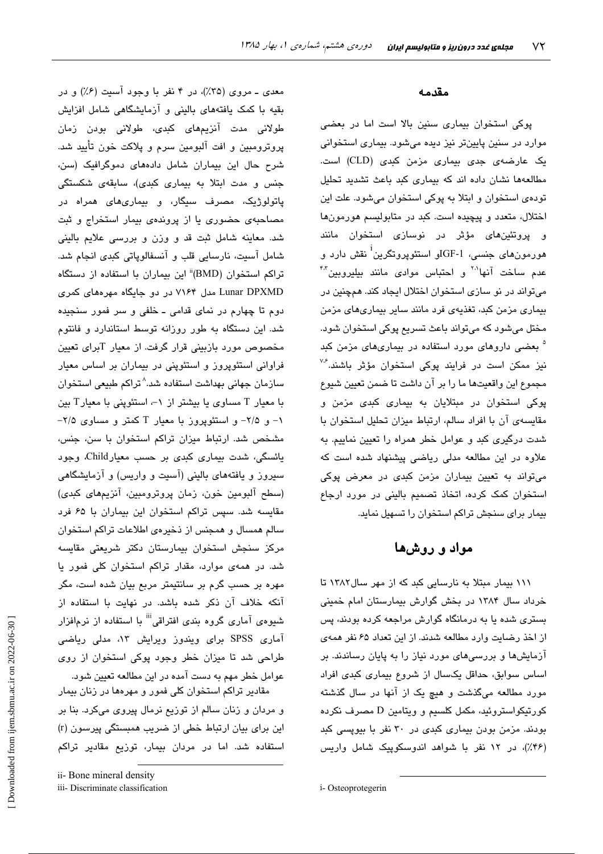معدی ــ مروی (۳۵٪)، در ۴ نفر با وجود آسیت (۶٪) و در بقیه با کمک یافتههای بالینی و آزمایشگاهی شامل افزایش طولانی مدت آنزیمهای کب*دی*، طولانی بودن زمان پروترومبین و افت آلبومین سرم و پلاکت خون تأیید شد. شرح حال این بیماران شامل دادههای دموگرافیک (سن، جنس و مدت ابتلا به بیماری کبدی)، سابقهی شکستگی پاتولوژیک، مصرف سیگار، و بیماریهای همراه در مصاحبهی حضوری یا از پروندهی بیمار استخراج و ثبت شد. معاينه شامل ثبت قد و وزن و بررسی علايم بالينی شامل آسیت، نارسایی قلب و آنسفالوپاتی کبدی انجام شد. تراکم استخوان (BMD)<sup>ii</sup> این بیماران با استفاده از دستگاه Lunar DPXMD مدل ۷۱۶۴ در دو جایگاه مهرههای کمری دوم تا چهارم در نمای قدامی ـ خلفی و سر فمور سنجیده شد. این دستگاه به طور روزانه توسط استاندارد و فانتوم مخصوص مورد بازبینی قرار گرفت. از معیار Tبرای تعیین فراوانی استئوپروز و استئوپنی در بیماران بر اساس معیار سازمان جهانی بهداشت استفاده شد.^تراکم طبیعی استخوان با معیار T مساوی یا بیشتر از ۱–، استئوینی با معیارT بین ۰۱ و ۲/۵- و استئویروز با معبار T کمتر و مساوی ۲/۵-مشخص شد. ارتباط میزان تراکم استخوان با سن، جنس، یائسگی، شدت بیماری کبدی بر حسب معیارChild، وجود سپرورز و پافتههای بالینی (آسیت و واریس) و آزمایشگاهی (سطح آلبومین خون، زمان پروترومبین، آنزیمهای کبدی) مقایسه شد. سیس تراکم استخوان این بیماران با ۶۵ فرد سالم همسال و همجنس از ذخیرهی اطلاعات تراکم استخوان مرکز سنجش استخوان بیمارستان دکتر شریعتی مقایسه شد. در همهی موارد، مقدار تراکم استخوان کلی فمور یا مهره بر حسب گرم بر سانتیمتر مربع بیان شده است، مگر آنکه خلاف آن ذکر شده باشد. در نهایت با استفاده از شیوهی آماری گروه بندی افتراقی<sup>iii</sup> با استفاده از نرمافزار آماری SPSS برای ویندوز ویرایش ۱۳، مدلی ریاضی طراحی شد تا میزان خطر وجود پوکی استخوان از روی عوامل خطر مهم به دست آمده در این مطالعه تعیین شود.

مقادیر تراکم استخوان کلی فمور و مهرهها در زنان بیمار و مردان و زنان سالم از توزیع نرمال پیروی میکرد. بنا بر این برای بیان ارتباط خطی از ضریب همبستگی پیرسون (r) استفاده شد. اما در مردان بیمار، توزیع مقادیر تراکم

#### مقدمه

پوکی استخوان بیماری سنین بالا است اما در بعضی موارد در سنین پایینتر نیز دیده میشود. بیماری استخوانی یک عارضهی جدی بیماری مزمن کبدی (CLD) است. مطالعهها نشان داده اند که بیماری کبد باعث تشدید تحلیل تودهی استخوان و ابتلا به پوکی استخوان میشود. علت این اختلال، متعدد و پیچیده است. کبد در متابولیسم هورمونها و پروتئینهای مؤثر در نوسازی استخوان مانند هورمونهای جنسی، IGF-1و استئویروتگرین<sup>1</sup> نقش دارد و عدم ساخت آنها<sup>۲۰</sup> و احتباس موادی مانند بیلیروبین<sup>۴۰</sup> میتواند در نو سازی استخوان اختلال ایجاد کند. همچنین در بیماری مزمن کبد، تغذیهی فرد مانند سایر بیماریهای مزمن مختل میشود که میتواند باعث تسریع پوکی استخوان شود. <sup>۵</sup> بعضی داروهای مورد استفاده در بیماریهای مزمن کبد نیز ممکن است در فرایند پوکی استخوان مؤثر باشند.<sup>۳۶</sup> مجموع اين واقعيتها ما را بر آن داشت تا ضمن تعيين شيوع یوکی استخوان در مبتلایان به بیماری کبدی مزمن و مقایسه ی آن با افراد سالم، ارتباط میزان تحلیل استخوان با شدت درگیری کبد و عوامل خطر همراه را تعیین نماییم. به علاوه در این مطالعه مدلی ریاضی پیشنهاد شده است که میتواند به تعیین بیماران مزمن کبدی در معرض پوکی استخوان کمک کرده، اتخاذ تصمیم بالینی در مورد ارجاع بیمار برای سنجش تراکم استخوان را تسهیل نماید.

# مواد و روشها

۱۱۱ بیمار مبتلا به نارسایی کبد که از مهر سال۱۳۸۲ تا خرداد سال ۱۳۸۴ در بخش گوارش بیمارستان امام خمینی بستری شده یا به درمانگاه گوارش مراجعه کرده بودند، پس از اخذ رضایت وارد مطالعه شدند. از این تعداد ۶۵ نفر همهی آزمایشها و بررسیهای مورد نیاز را به پایان رساندند. بر اساس سوابق، حداقل یکسال از شروع بیماری کبدی افراد مورد مطالعه میگذشت و هیچ یک از آنها در سال گذشته كورتيكواستروئيد، مكمل كلسيم و ويتامين D مصرف نكرده بودند. مزمن بودن بیماری کبدی در ۳۰ نفر با بیوپسی کبد (۴۶٪)، در ۱۲ نفر با شواهد اندوسکوپیک شامل واریس

ii- Bone mineral density

iii- Discriminate classification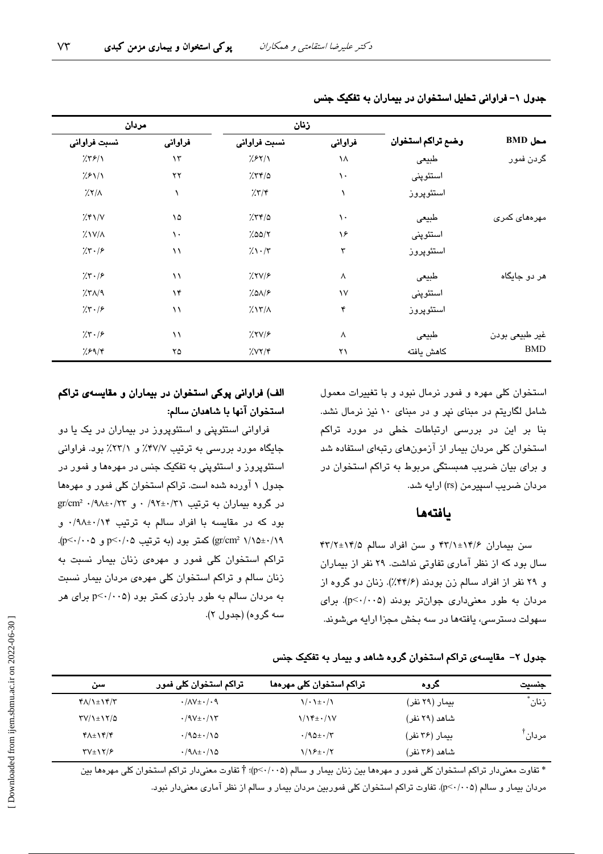|                              |                   | زنان                    |            | مردان                  |                             |
|------------------------------|-------------------|-------------------------|------------|------------------------|-----------------------------|
| $\mathbf{BMD}$ محل           | وضع تراكم استخوان | فراواني<br>نسبت فراواني |            | فراواني                | نسبت فراواني                |
| گردن فمور                    | طبيعى             | ١٨                      | 7.87/1     | $\lambda \tau$         | 7.79/1                      |
|                              | استئوپنى          | ١.                      | 7.77/a     | $\mathsf{Y}\mathsf{Y}$ | 7.81/1                      |
|                              | استئوپروز         |                         | 7.77       |                        | $\frac{1}{2}$               |
| مهرەهای کمری                 | طبيعى             | ١.                      | 7.77/a     | ۱۵                     | $\frac{1}{2}$ $\frac{1}{2}$ |
|                              | استئوپنى          | ۱۶                      | 7.00/7     | $\mathcal{L}$          | $\frac{1}{2}$ $\frac{1}{2}$ |
|                              | استئوپروز         | ٣                       | $7.1 - 77$ | $\lambda$              | 7.7.7                       |
| هر دو جایگاه                 | طبيعى             | ٨                       | 7.719      | $\setminus$            | 7.5.78                      |
|                              | استئوپنى          | $\mathcal{N}$           | 7.019      | $\lambda$ ۴            | $X^{\prime}$                |
|                              | استئوپروز         | ۴                       | 7.17/A     | $\setminus$            | 7.7.19                      |
| غیر طبیعی بودن<br><b>BMD</b> | طبيعى             | Λ                       | 7.7V/F     | $\setminus$            | 7.7.19                      |
|                              | كاهش يافته        | ۲۱                      | 7.77/5     | ۲۵                     | 7.89/8                      |

جدول ۱- فراوانی تحلیل استخوان در بیماران به تفکیک جنس

استخوان کلی مهره و فمور نرمال نبود و با تغییرات معمول شامل لگاریتم در مبنای نیر و در مبنای ۱۰ نیز نرمال نشد. بنا بر این در بررسی ارتباطات خطی در مورد تراکم استخوان کلی مردان بیمار از آزمونهای رتبهای استفاده شد و برای بیان ضریب همبستگی مربوط به تراکم استخوان در مردان ضریب اسپیرمن (rs) ارایه شد.

### يافتهها

سن بیماران ۶/۶/۱±۱۴/۱ و سن افراد سالم ۱۴/۸±۱۴/۲ سال بود که از نظر آماری تفاوتی نداشت. ۲۹ نفر از بیماران و ٢٩ نفر از افراد سالم زن بودند (٣٢/۶٪). زنان دو گروه از مردان به طور معنیداری جوانتر بودند (p<٠/٠٠۵). برای سبهولت دسترسی، یافتهها در سه بخش مجزا ارایه میشوند.

# الف) فراوانی پوکی استخوان در بیماران و مقایسهی تراکم استخوان آنها با شاهدان سالم:

فراوانی استئوپنی و استئوپروز در بیماران در یک یا دو جایگاه مورد بررسی به ترتیب ۴۷/۷٪ و ۲۳/۱٪ بود. فراوانی استئوپروز و استئوپنی به تفکیک جنس در مهرهها و فمور در جدول ۱ آورده شده است. تراکم استخوان کلی فمور و مهرهها  $gr/cm^2$  ۰/۹۸±۰/۲۲ و  $r \times 1$ ۰/۹۲±۰/۳۱ و  $gr/cm^2$ ۰/۹۸±۰/۲۳ بود که در مقایسه با افراد سالم به ترتیب ۰/۹۸±۰/۱۴ و \gr/cm2 ١/١٥±٠/١٩) كمتر بود (به ترتيب 2٠/٠٥ و p<٠/٠٥). تراکم استخوان کلی فمور و مهرهی زنان بیمار نسبت به زنان سالم و تراکم استخوان کلی مهرهی مردان بیمار نسبت به مردان سالم به طور بارزی کمتر بود (p<٠/٠٥ برای هر سه گروه) (جدول ۲).

جدول ۲– مقایسهی تراکم استخوان گروه شاهد و بیمار به تفکیک جنس

| سن                                            | تراکم استخوان کلی فمور                 | تراکم استخوان کلی مهرهها            | کروہ           | جنسيت              |
|-----------------------------------------------|----------------------------------------|-------------------------------------|----------------|--------------------|
| $Y/\lambda + Y'$                              | $\cdot/\Lambda V \pm \cdot/\cdot \eta$ | $\binom{1}{1}$ . $\frac{1}{2}$ .    | بیمار (۲۹ نفر) | زنان ٔ             |
| $\Upsilon V/\Upsilon$ + $\Upsilon V/\Delta$   | $\cdot$ /9 $V \pm \cdot / 17$          | $1/\sqrt{t}$ + $\cdot$ / $\sqrt{V}$ | شاهد (۲۹ نفر)  |                    |
| $\mathbf{Y} \wedge \pm \mathbf{Y} \mathbf{Y}$ | $\cdot$ /90 $\pm$ $\cdot$ /90          | $\cdot$ /90 $\pm$ $\cdot$ /۳        | بیمار (۳۶ نفر) | مردان <sup>⊺</sup> |
| $\Upsilon V \pm \Upsilon / 5$                 | $\cdot$ /9 $\lambda$ ± $\cdot$ /10     | $1/19 \pm 1/7$                      | شاهد (۲۶ نفر)  |                    |

\* تفاوت معنیدار تراکم استخوان کلی فمور و مهرهها بین زنان بیمار و سالم (p<٠/٠٥)؛ † تفاوت معنیدار تراکم استخوان کلی مهرهها بین مردان بیمار و سالم (p<۰/۰۰۵). تفاوت تراکم استخوان کلی فموربین مردان بیمار و سالم از نظر آماری معنیدار نبود.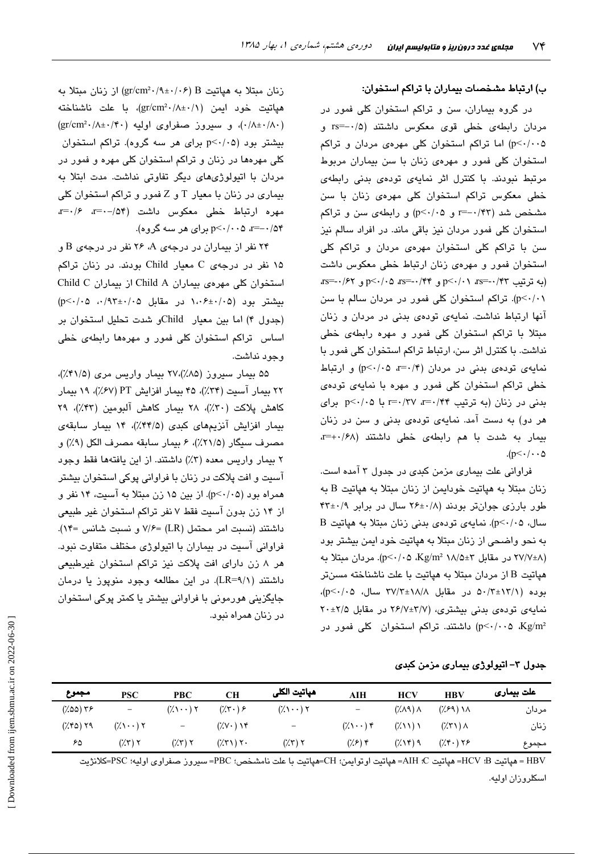### ب) ارتباط مشخصات بیماران با تراکم استخوان:

در گروه بیماران، سن و تراکم استخوان کلی فمور در مردان رابطهی خطی قوی معکوس داشتند (۰/۵-=rs و p<۰/۰۰۵) اما تراکم استخوان کلی مهرهی مردان و تراکم استخوان کلی فمور و مهرهی زنان با سن بیماران مربوط مرتبط نبودند. با کنترل اثر نمایهی تودهی بدنی رابطهی خطی معکوس تراکم استخوان کلی مهرهی زنان با سن مشخص شد (٣٣/٠-=r و p<٠/٠۵) و رابطهى سن و تراكم استخوان کلی فمور مردان نیز باقی ماند. در افراد سالم نیز سن با تراکم کلی استخوان مهرهی مردان و تراکم کلی استخوان فمور و مهرهی زنان ارتباط خطی معکوس داشت (به ترتیب ۲۳/۰-≕rs=۰/۴۲ و ۲۴/۰+=rs=۰/۶۲ و ۲۶/۰\۰=rs p<۰/۰۱). تراکم استخوان کلی فمور در مردان سالم با سن آنها ارتباط نداشت. نمایهی تودهی بدنی در مردان و زنان مبتلا با تراکم استخوان کلی فمور و مهره رابطهی خطی نداشت. با کنترل اثر سن، ارتباط تراکم استخوان کلی فمور با نمایهی تودهی بدنی در مردان (۴/۰=a p<۰/۰۵) و ارتباط خطی تراکم استخوان کلی فمور و مهره با نمایهی تودهی بدنی در زنان (به ترتیب ۰/۴۴ r=۰/۳۷ با ۰۵/۰۵p<۰/۰۵ برای هر دو) به دست آمد. نمایهی تودهی بدنی و سن در زنان بیمار به شدت با هم رابطهی خطی داشتند (x=+./۶۸  $(p<\cdot/\cdot \cdot \Delta)$ 

فراوانی علت بیماری مزمن کبدی در جدول ۳ آمده است. زنان مبتلا به هیاتیت خودایمن از زنان مبتلا به هیاتیت B به طور بارزی جوانتر بودند (۶/ ۲۶±۲۶ سال در برابر ۴۲±۴۳ سال، p<٠/٠۵). نمایهی تودهی بدنی زنان مبتلا به هپاتیت B به نحو واضحی از زنان مبتلا به هیاتیت خود ایمن بیشتر بود (۲۷/۷±۸ در مقابل ۳±۱۸/۵ Kg/m (p<۰/۰۵ Kg). مردان مبتلا به هپاتیت B از مردان مبتلا به هپاتیت با علت ناشناخته مسنتر بوده (۵۰/۳±۱۲/۱ در مقابل ۱۸/۸±۳۷/۳ سال، p<۰/۰۵)، نمایهی تودهی بدنی بیشتری، (٢/٧±٣/٧ در مقابل ٢٠±٢٧ اشتند. تراکم استخوان کلی فمور در (p<٠/٠٠۵ Kg/m<sup>2</sup>

زنان مبتلا به هپاتیت gr/cm<sup>2</sup>۰/۹±۰/۰۶) از زنان مبتلا به هياتيت خود ايمن (gr/cm<sup>2</sup>·/A±·/)، با علت ناشناخته  $(\text{gr/cm}^2\cdot/\wedge\pm\cdot/\mathfrak{k}\cdot)$  و سیروز صفراوی اولیه (۱۴۰ $(\wedge\pm\cdot/\wedge\cdot)$ بیشتر بود (p<۰/۰۵ برای هر سه گروه). تراکم استخوان کلی مهرهها در زنان و تراکم استخوان کلی مهره و فمور در مردان با اتیولوژیهای دیگر تفاوتی نداشت. مدت ابتلا به بیماری در زنان با معیار T و Z فمور و تراکم استخوان کلی مهره ارتباط خطى معكوس داشت (٥۴- - = = = = = ۰/۵۴–=a ۰/۰۰>p برای هر سه گروه).

۲۴ نفر از بیماران در درجهی A، ۲۶ نفر در درجهی B و ۱۵ نفر در درجهی C معیار Child بودند. در زنان تراکم استخوان کلی مهروی بیماران Child A از بیماران Child C  $(p<\cdot/\cdot 0 \cdot \cdot/9)$  دسشتر بود (۰۵ $\cdot\cdot\cdot\in\mathbb{R}$  در مقابل ۱،۰۶ (جدول ۴) اما بين معيار - Childو شدت تحليل استخوان بن اساس تراکم استخوان کلی فمور و مهرهها رابطهی خطی وحود نداشت.

۵۵ بیمار سپروز (۸۵٪)،۲۷ بیمار واریس مری (۴۱/۵٪)، ۲۲ بیمار آسیت (۳۴٪)، ۴۵ بیمار افزایش PT (۶۷٪)، ۱۹ بیمار كاهش يلاكت (٣٠٪)، ٢٨ بيمار كاهش آلبومين (٣٣٪)، ٢٩ بیمار افزایش آنزیمهای کبدی (۳۴/۵٪)، ۱۴ بیمار سابقهی مصرف سيگار (٢١/٥٪)، ۶ بيمار سابقه مصرف الكل (٩٪) و ٢ بيمار واريس معده (٣٪) داشتند. از اين يافتهها فقط وجود آسیت و افت پلاکت در زنان با فراوانی پوکی استخوان بیشتر همراه بود (p<-/·۵). از بین ۱۵ زن مبتلا به آسیت، ۱۴ نفر و از ۱۴ زن بدون آسیت فقط ۷ نفر تراکم استخوان غیر طبیعی داشتند (نسبت امر محتمل (LR) =۷/۶ و نسبت شانس =۱۴). فراوانی آسیت در بیماران با اتیولوژی مختلف متفاوت نبود. هر ۸ زن دارای افت پلاکت نیز تراکم استخوان غیرطبیعی داشتند (LR=۹/۱). در این مطالعه وجود منوپوز یا درمان جایگزینی هورمونی با فراوانی بیشتر یا کمتر پوکی استخوان در زنان همراه نبود.

جدول ۳– اتیولوژی بیماری مزمن کبدی

| مجموع          | <b>PSC</b>                                  | <b>PBC</b>                                  | CН                                           | هپاتيت الكلى                                | AIH                                 | <b>HCV</b>                          | <b>HBV</b>                          | علت بیمار <i>ی</i> |
|----------------|---------------------------------------------|---------------------------------------------|----------------------------------------------|---------------------------------------------|-------------------------------------|-------------------------------------|-------------------------------------|--------------------|
| $(7.00)$ $Y$ ۶ | $\overline{\phantom{m}}$                    | $(\lambda \setminus \cdot \cdot)$ $\lambda$ | $(\gamma \cdot) \in$                         | $(\lambda \setminus \cdot \cdot)$ $\lambda$ | $\qquad \qquad -$                   | $(\lambda \wedge \lambda)$          | $(\frac{1}{2})$ ) $\lambda$         | مردان              |
| (XfQ)Y9        | $(\lambda \setminus \cdot \cdot)$ $\lambda$ | $\equiv$                                    | $(Y \vee Y)$                                 | $\overline{\phantom{a}}$                    | $(\lambda \setminus \cdot \cdot)$ ۴ | (7.11)1                             | $(\mathcal{X}, \mathcal{Y}) \wedge$ | زنان               |
| ۶۵             | $(\mathcal{X}, \mathcal{Y})$ $\mathcal{Y}$  | $(\mathcal{X}, \mathcal{Y})$ $\mathcal{Y}$  | $(\mathcal{X}, \mathcal{Y})$ $\mathcal{Y}$ . | $(\mathcal{X}, \mathcal{Y})$ $\mathcal{Y}$  | $(\frac{1}{2})^{\kappa}$            | $(\lambda \setminus \mathcal{F})$ ۹ | $(\mathcal{H} \cdot)$ ۲۶            | مجموع              |

HBV = هياتيت B: HCV= هياتيت AIH = هياتيت اوتوابمن؛ CH=هياتيت با علت نامشخص؛ PBC= سيروز صفراوي اوليه؛ PSC=كلانژيت اسكلروزان اوليه.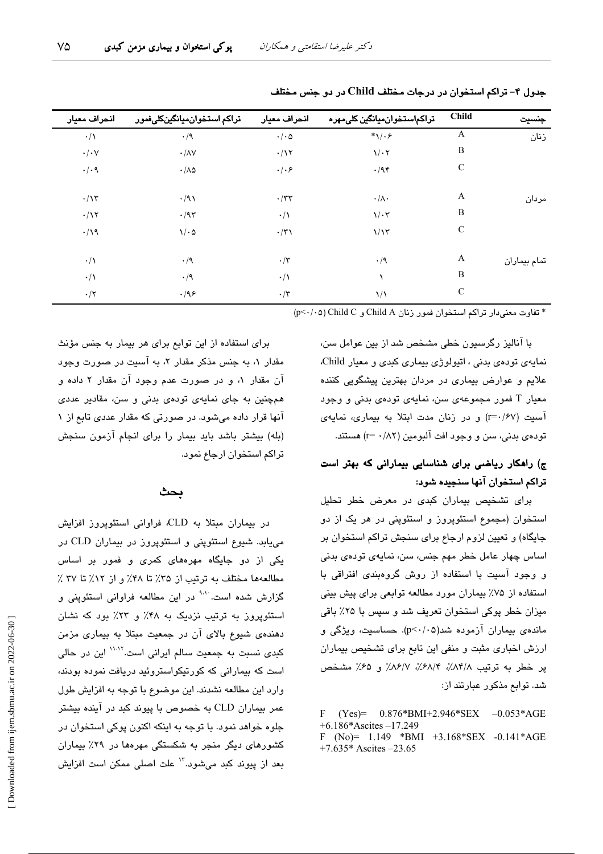| جنسيت        | <b>Child</b> | تراكماستخوانميانگين كلىمهره | انحراف معيار    | تراكم استخوان ميانگينكلىفمور | انحراف معيار         |
|--------------|--------------|-----------------------------|-----------------|------------------------------|----------------------|
| زنان         | A            | $*\sqrt{.}$                 | $\cdot/\cdot$ ۵ | $\cdot/9$                    | $\cdot/\wedge$       |
|              | B            | $\sqrt{\cdot 7}$            | $\cdot/\gamma$  | $\cdot/\lambda V$            | $\cdot/\cdot$ $\vee$ |
|              | $\mathsf{C}$ | $\cdot$ /94                 | $\cdot/\cdot$ ۶ | $\cdot/\lambda\varphi$       | $\cdot/\cdot$ ٩      |
| مردان        | A            | $\cdot/\wedge\cdot$         | $\cdot$ /٣٣     | $\cdot/91$                   | $\cdot/\gamma$       |
|              | B            | $1/\cdot 7$                 | $\cdot/\lambda$ | $\cdot$ /95                  | $\cdot/\gamma$       |
|              | $\mathsf{C}$ | 1/15                        | $\cdot/\tau$    | $\sqrt{6}$                   | $\cdot/\gamma$       |
| تمام بيماران | A            | $\cdot/9$                   | $\cdot/\tau$    | $\cdot/9$                    | $\cdot/\wedge$       |
|              | B            |                             | $\cdot/\wedge$  | $\cdot/9$                    | $\cdot/\wedge$       |
|              | $\mathsf{C}$ | $\frac{1}{2}$               | $\cdot/\tau$    | .199                         | $\cdot/\tau$         |
|              |              |                             |                 |                              |                      |

جدول ۴- تراکم استخوان در درجات مختلف Child در دو جنس مختلف

\* تفاوت معنى دار تراكم استخوان فمور زنان Child A و P<٠/٠٥) Child C

با آنالیز رگرسیون خطی مشخص شد از بین عوامل سن، نمایهی تودهی بدنی ، اتیولوژی بیماری کبدی و معیار Child. علایم و عوارض بیماری در مردان بهترین پیشگویی کننده معیار T فمور مجموعهی سن، نمایهی تودهی بدنی و وجود آسيت (r=٠/۶٧) و در زنان مدت ابتلا به بيماري، نمايهي تو دوي بدني، سن و وجود افت آلبومين (٢٨٢ - r=) هستند.

# ج) راهکار ریاضی برای شناسایی بیمارانی که بهتر است تراكم استخوان آنها سنجيده شود:

برای تشخیص بیماران کبدی در معرض خطر تحلیل استخوان (مجموع استئوپروز و استئوپنی در هر یک از دو جایگاه) و تعیین لزوم ارجاع برای سنجش تراکم استخوان بر اساس چهار عامل خطر مهم جنس، سن، نمایهی تودهی بدنی و وجود آسیت با استفاده از روش گروهبندی افتراقی با استفاده از ۷۵٪ بیماران مورد مطالعه توابعی برای پیش بینی میزان خطر پوکی استخوان تعریف شد و سپس با ۲۵٪ باقی ماندهی بیماران آزموده شد(p<۰/۰۵). حساسیت، ویژگی و ارزش اخباری مثبت و منفی این تابع برای تشخیص بیماران پر خطر به ترتیب ٨٣/٨٪، ٣٨/٢٪، ٨۶/٧٪ و ۶۵٪ مشخص شد. توابع مذکور عبارتند از:

 $\mathbf{F}$  $(Yes) = 0.876*BMI+2.946*SEX -0.053*AGE$  $+6.186*Ascites -17.249$ F (No)=  $1.149$  \*BMI +3.168\*SEX -0.141\*AGE +7.635\* Ascites  $-23.65$ 

برای استفاده از این توابع برای هر بیمار به جنس مؤنث مقدار ۱، به جنس مذکر مقدار ۲، به آسیت در صورت وجود آن مقدار ۱، و در صورت عدم وجود آن مقدار ۲ داده و همچنین به جای نمایهی تودهی بدنی و سن، مقادیر عددی آنها قرار داده میشود. در صورتی که مقدار عددی تابع از ۱ (بله) بیشتر باشد باید بیمار را برای انجام آزمون سنجش تراكم استخوان ارجاع نمود.

#### بحث

در بیماران مبتلا به CLD، فراوانی استئوپروز افزایش می یابد. شیوع استئوپنی و استئوپروز در بیماران CLD در یکی از دو جایگاه مهرههای کمری و فمور بر اساس مطالعهها مختلف به ترتیب از ۳۵٪ تا ۴۸٪ و از ۱۲٪ تا ۳۷ ٪ گزارش شده است<sup>. ۱۰۱</sup> در این مطالعه فراوانی استئوپنی و استئویروز به ترتیب نزدیک به ۴۸٪ و ۲۳٪ بود که نشان دهندهی شیوع بالای آن در جمعیت مبتلا به بیماری مزمن کبدی نسبت به جمعیت سالم ایرانی است.<sup>۱۱٬۱۲</sup> این در حالی است که بیمارانی که کورتیکواستروئید دریافت نموده بودند، وارد این مطالعه نشدند. این موضوع با توجه به افزایش طول عمر بیماران CLD به خصوص با پیوند کبد در آینده بیشتر جلوه خواهد نمود. با توجه به اینکه اکنون پوکی استخوان در کشورهای دیگر منجر به شکستگی مهرهها در ۲۹٪ بیماران بعد از پیوند کبد میشود."' علت اصلی ممکن است افزایش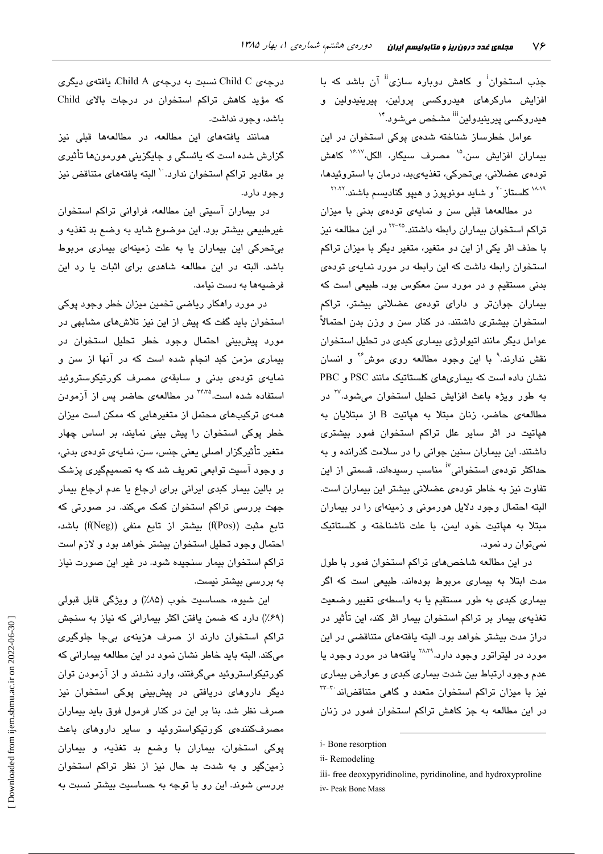جذب استخوان<sup>!</sup> و کاهش دوباره سازی<sup>!!</sup> آن باشد که با افزایش مارکرها*ی ه*یدروکسی پرولین، پیرینیدولین و هيدروکسي پيرينيدولين<sup>iii</sup> مشخص مي،شود.<sup>۱۴</sup>

عوامل خطرساز شناخته شدهی پوکی استخوان در این بیماران افزایش سن،<sup>۱۵</sup> مصرف سبگار، الکل،۱<sup>۶٬۱۷</sup> کاهش تودەي عضلانى، بىتحركى، تغذيەيىد، درمان با استروئيدها، <sup>۱۸۸۹</sup> کلستاز <sup>۲۰</sup> و شاید مونویوز و هییو گنادیسم باشند.<sup>۲۱٬۲۲</sup>

در مطالعهها قبلی سن و نمایهی تودهی بدنی با میزان تراکم استخوان بیماران رابطه داشتند.<sup>۲۲-۲۵</sup> در این مطالعه نیز با حذف اثر یکی از این دو متغیر، متغیر دیگر با میزان تراکم استخوان رابطه داشت که این رابطه در مورد نمایهی تودهی بدنی مستقیم و در مورد سن معکوس بود. طبیعی است که بیماران جوانتر و دارای تودهی عضلانی بیشتر، تراکم استخوان بیشتری داشتند. در کنار سن و وزن بدن احتمالاً عوامل دیگر مانند اتبولوژی بیماری کندی در تحلیل استخوان نقش ندارند.<sup>۹</sup> با این وجود مطالعه روی موش<sup>۲۶</sup> و انسان نشان داده است که بیماریهای کلستاتیک مانند PSC و PBC به طور ویژه باعث افزایش تحلیل استخوان میشود.<sup>۲۷</sup> در مطالعهى حاضر، زنان مبتلا به هياتيت B از مبتلايان به هپاتیت در اثر سایر علل تراکم استخوان فمور بیشتری داشتند. این بیماران سنین جوانی را در سلامت گذرانده و به حداکثر تودهی استخوانی<sup>i٬</sup> مناسب رسیدهاند. قسمتی از این تفاوت نیز به خاطر تودهی عضلانی بیشتر این بیماران است. البته احتمال وجود دلایل هورمونی و زمینهای را در بیماران مبتلا به هیاتیت خود ایمن، با علت ناشناخته و کلستاتیک نمی توان رد نمود.

در این مطالعه شاخصهای تراکم استخوان فمور با طول مدت ابتلا به بیماری مربوط بودهاند. طبیعی است که اگر بیماری کبدی به طور مستقیم یا به واسطهی تغییر وضعیت تغذیهی بیمار بر تراکم استخوان بیمار اثر کند، این تأثیر در دراز مدت بیشتر خواهد بود. البته یافتههای متناقضی در این مورد در لیتراتور وجود دارد.<sup>۲۸،۲۹</sup> یافتهها در مورد وجود یا عدم وجود ارتباط بین شدت بیماری کبدی و عوارض بیماری نیز با میزان تراکم استخوان متعدد و گاهی متناقضاند<sup>۳۲-۳۰</sup> در این مطالعه به جز کاهش تراکم استخوان فمور در زنان

درجەي Child C نسىت بە درجەي Child A، يافتەي دېگرى که مؤید کاهش تراکم استخوان در درجات بالای Child باشد، وجود نداشت.

همانند یافتههای این مطالعه، در مطالعهها قبلی نیز گزارش شده است که پائسگی و جایگزینی هورمونها تأثیری بر مقادير تراكم استخوان ندارد. `` البته يافتههاى متناقض نيز وجود دارد.

در بیماران آسیتی این مطالعه، فراوانی تراکم استخوان غیرطبیعی بیشتر بود. این موضوع شاید به وضع بد تغذیه و بی تحرکی این بیماران یا به علت زمینهای بیماری مربوط باشد. البته در این مطالعه شاهدی برای اثبات یا رد این فرضيهها به دست نيامد.

در مورد راهکار ریاضی تخمین میزان خطر وجود پوکی استخوان باید گفت که پیش از این نیز تلاش های مشابهی در مورد پیشبینی احتمال وجود خطر تحلیل استخوان در بیماری مزمن کبد انجام شده است که در آنها از سن و نمایەی تودەی بدنی و سابقەی مصرف كورتیكوستروئید استفاده شده است.<sup>۳۴٬۳۵</sup> در مطالعهی حاضر پس از آزمودن همهی ترکیبهای محتمل از متغیرهایی که ممکن است میزان خطر پوکی استخوان را پیش بینی نمایند، بر اساس چهار متغیر تأثیرگزار اصلی بعنی چنس، سن، نمایهی تودهی بدنی، و وجود آسیت توابعی تعریف شد که به تصمیمگیری پزشک بر بالين بيمار كبدى ايرانى براى ارجاع يا عدم ارجاع بيمار جهت بررسی تراکم استخوان کمک میکند. در صورتی که تابع مثبت ((f(Pos) بیشتر از تابع منفی ((f(Neg) باشد، احتمال وجود تحلیل استخوان بیشتر خواهد بود و لازم است تراکم استخوان بیمار سنجیده شود. در غیر این صورت نیاز به بررسی بیشتر نیست.

اين شيوه، حساسيت خوب (٨۵٪) و ويژگي قابل قبولي (۶۹٪) دارد که ضمن یافتن اکثر بیمارانی که نیاز به سنجش تراکم استخوان دارند از صرف هزینهی بیجا جلوگیری میکند. البته باید خاطر نشان نمود در این مطالعه بیمارانی که کورتیکواستروئید میگرفتند، وارد نشدند و از آزمودن توان دیگر داروها*ی* دریافتی در پیشبینی پوکی استخوان نیز صرف نظر شد. بنا بر این در کنار فرمول فوق باید بیماران مصرفکنندهی کورتیکواستروئید و سایر داروهای باعث پوکی استخوان، بیماران با وضع بد تغذیه، و بیماران زمینگیر و به شدت بد حال نیز از نظر تراکم استخوان بررسی شوند. این رو با توجه به حساسیت بیشتر نسبت به

i-Bone resorption

ii-Remodeling

iii- free deoxypyridinoline, pyridinoline, and hydroxyproline iv- Peak Bone Mass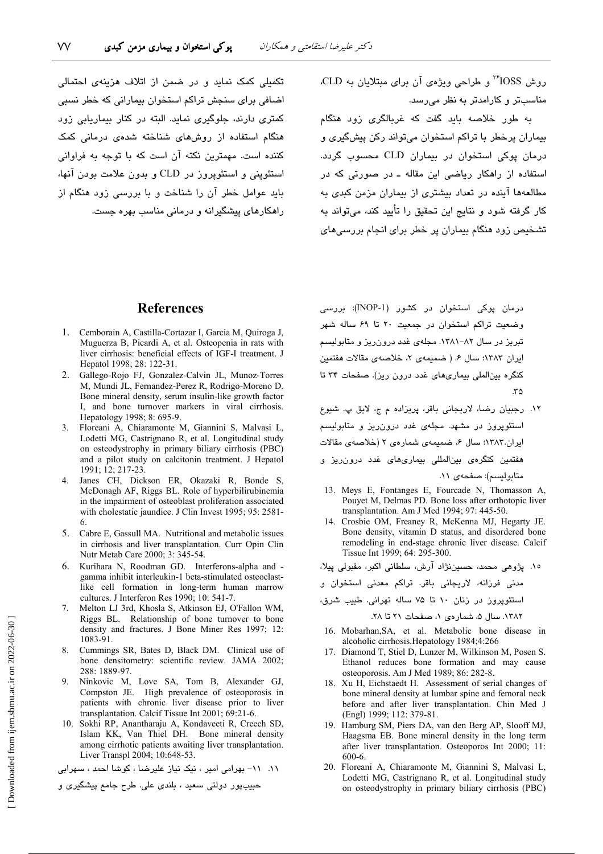تکمیلی کمک نماید و در ضمن از اتلاف هزینهی احتمالی اضافی برای سنجش تراکم استخوان بیمارانی که خطر نسبی کمتری دارند، جلوگیری نماید. البته در کنار بیماریابی زود هنگام استفاده از روشهای شناخته شدهی درمانی کمک کننده است. مهمترین نکته آن است که با توجه به فراوانی استئويني و استئويروز در CLD و بدون علامت بودن آنها، باید عوامل خطر آن را شناخت و با بررسی زود هنگام از راهکارهای پیشگیرانه و درمانی مناسب بهره جست. روش IOSS<sup>\*</sup> و طراحی ویژهی آن برای مبتلایان به CLD. مناسبتر و کارامدتر به نظر می رسد.

به طور خلاصه باید گفت که غربالگری زود هنگام بیماران پرخطر با تراکم استخوان میتواند رکن پیشگیری و درمان پوکی استخوان در بیماران CLD محسوب گردد. استفاده از راهکار ریاضی این مقاله ـ در صورتی که در مطالعهها آینده در تعداد بیشتری از بیماران مزمن کبدی به کار گرفته شود و نتایج این تحقیق را تأیید کند، میتواند به تشخیص زود هنگام بیماران پر خطر برای انجام بررسی های

## **References**

- 1. Cemborain A, Castilla-Cortazar I, Garcia M, Quiroga J, Muguerza B, Picardi A, et al. Osteopenia in rats with liver cirrhosis: beneficial effects of IGF-I treatment. J Hepatol 1998; 28: 122-31.
- 2. Gallego-Rojo FJ, Gonzalez-Calvin JL, Munoz-Torres M, Mundi JL, Fernandez-Perez R, Rodrigo-Moreno D. Bone mineral density, serum insulin-like growth factor I, and bone turnover markers in viral cirrhosis. Hepatology 1998; 8: 695-9.
- 3. Floreani A, Chiaramonte M, Giannini S, Malvasi L, Lodetti MG, Castrignano R, et al. Longitudinal study on osteodystrophy in primary biliary cirrhosis (PBC) and a pilot study on calcitonin treatment. J Hepatol 1991; 12; 217-23.
- 4. Janes CH, Dickson ER, Okazaki R, Bonde S, McDonagh AF, Riggs BL. Role of hyperbilirubinemia in the impairment of osteoblast proliferation associated with cholestatic jaundice. J Clin Invest 1995; 95: 2581-
- 5. Cabre E, Gassull MA. Nutritional and metabolic issues in cirrhosis and liver transplantation. Curr Opin Clin Nutr Metab Care 2000; 3: 345-54.
- Kurihara N, Roodman GD. Interferons-alpha and -6 gamma inhibit interleukin-1 beta-stimulated osteoclastlike cell formation in long-term human marrow cultures. J Interferon Res 1990; 10: 541-7.
- Melton LJ 3rd, Khosla S, Atkinson EJ, O'Fallon WM, Riggs BL. Relationship of bone turnover to bone density and fractures. J Bone Miner Res 1997: 12: 1083-91.
- Cummings SR, Bates D, Black DM. Clinical use of 8. bone densitometry: scientific review. JAMA 2002; 288: 1889-97.
- $\mathbf{Q}$ Ninkovic M, Love SA, Tom B, Alexander GJ, Compston JE. High prevalence of osteoporosis in patients with chronic liver disease prior to liver transplantation. Calcif Tissue Int 2001; 69:21-6.
- 10. Sokhi RP, Anantharaju A, Kondaveeti R, Creech SD, Islam KK, Van Thiel DH. Bone mineral density among cirrhotic patients awaiting liver transplantation. Liver Transpl 2004; 10:648-53.

١١. ١١- بهرامی امير ، نيک نياز عليرضا ، كوشا احمد ، سهرابی

حبيبپور دولتي سعيد ، بلندي علي. طرح جامع پيشگيري و

درمان پوکی استخوان در کشور (INOP-1): بررسی وضعیت تراکم استخوان در جمعیت ۲۰ تا ۶۹ ساله شهر تبریز در سال ۸۲–۱۳۸۱. مجلهی غدد درون ریز و متابولیسم ايران ١٣٨٣؛ سال ۶. (ضميمهى ٢، خلاصهى مقالات هفتمين کنگره بین الملی بیماری های غدد درون ریز). صفحات ۳۴ تا  $\mathfrak{r}\Delta$ 

- ١٢. رجبيان رضا، لاريجاني باقر، پريزاده م ج، لايق پ. شيوع استئوپروز در مشهد. مجلهی غدد درون ریز و متابولیسم ایران.۱۳۸۳؛ سال ۶، ضمیمهی شمارهی ۲ (خلاصهی مقالات هفتمین کنگره*ی* بینالمللی بیماریهای غدد درون٫یز و متابوليسم): صفحهى ١١.
- 13. Meys E, Fontanges E, Fourcade N, Thomasson A, Pouyet M, Delmas PD. Bone loss after orthotopic liver transplantation. Am J Med 1994; 97: 445-50.
- 14. Crosbie OM, Freaney R, McKenna MJ, Hegarty JE. Bone density, vitamin D status, and disordered bone remodeling in end-stage chronic liver disease. Calcif Tissue Int 1999; 64: 295-300.

١٥. پژوهي محمد، حسيننژاد آرش، سلطاني اکبر، مقبولي پيلا،

مدنی فرزانه، لاریجانی باقر. تراکم معدنی استخوان و

استئویروز در زنان ۱۰ تا ۷۵ ساله تهرانی. طبیب شرق،

١٣٨٢. سال ۵، شمار دی ١، صفحات ٢١ تا ٢٨.

- 16. Mobarhan, SA, et al. Metabolic bone disease in alcoholic cirrhosis. Hepatology 1984;4:266
- 17. Diamond T, Stiel D, Lunzer M, Wilkinson M, Posen S. Ethanol reduces bone formation and may cause osteoporosis. Am J Med 1989; 86: 282-8.
- 18. Xu H, Eichstaedt H. Assessment of serial changes of bone mineral density at lumbar spine and femoral neck before and after liver transplantation. Chin Med J (Engl) 1999; 112: 379-81.
- 19. Hamburg SM, Piers DA, van den Berg AP, Slooff MJ, Haagsma EB. Bone mineral density in the long term after liver transplantation. Osteoporos Int 2000; 11: 600-6.
- 20. Floreani A, Chiaramonte M, Giannini S, Malvasi L, Lodetti MG, Castrignano R, et al. Longitudinal study on osteodystrophy in primary biliary cirrhosis (PBC)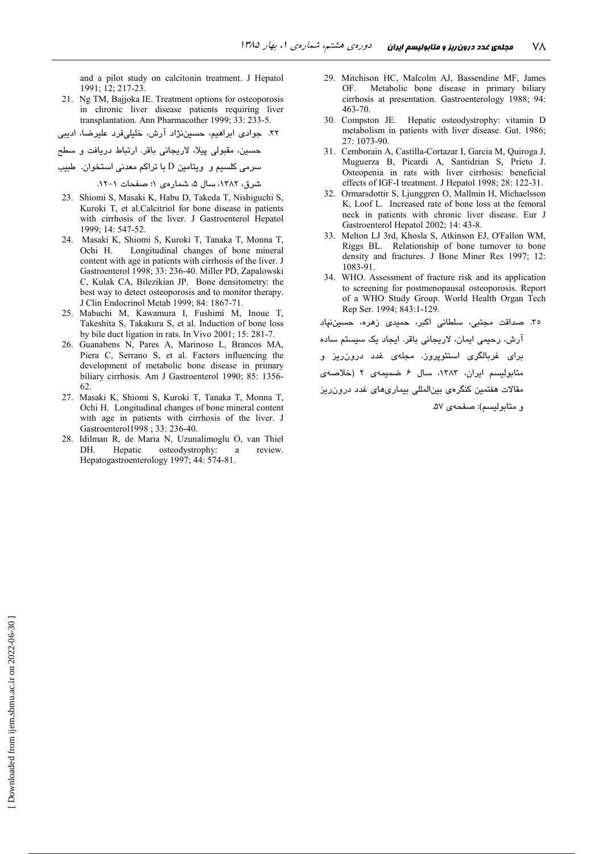and a pilot study on calcitonin treatment. J Hepatol 1991: 12: 217-23.

- 21. Ng TM, Bajjoka IE. Treatment options for osteoporosis in chronic liver disease patients requiring liver transplantation. Ann Pharmacother 1999; 33: 233-5.
- ۲۲. جوادی ابراهیم، حسیننژاد آرش، خلیلیفرد علیرضا، ادیبی
- ۔<br>حسین، مقبولی پیلا، لاریجانی باقر. ارتباط دریافت و سطح
- سرمی کلسیم و ویتامین D با تراکم معدنی استخوان. طبیب

شرق، ١٣٨٢، سال ۵، شمار دي ١؛ صفحات ١-١٢.

- 23. Shiomi S, Masaki K, Habu D, Takeda T, Nishiguchi S, Kuroki T, et al. Calcitriol for bone disease in patients with cirrhosis of the liver. J Gastroenterol Hepatol 1999; 14: 547-52.
- 24. Masaki K, Shiomi S, Kuroki T, Tanaka T, Monna T, Ochi H. Longitudinal changes of bone mineral content with age in patients with cirrhosis of the liver. J Gastroenterol 1998; 33: 236-40. Miller PD, Zapalowski C, Kulak CA, Bilezikian JP. Bone densitometry: the best way to detect osteoporosis and to monitor therapy. J Clin Endocrinol Metab 1999; 84: 1867-71.
- 25. Mabuchi M, Kawamura I, Fushimi M, Inoue T, Takeshita S, Takakura S, et al. Induction of bone loss by bile duct ligation in rats. In Vivo 2001; 15: 281-7.
- 26. Guanabens N. Pares A. Marinoso L. Brancos MA. Piera C, Serrano S, et al. Factors influencing the development of metabolic bone disease in primary biliary cirrhosis. Am J Gastroenterol 1990; 85: 1356-62.
- 27. Masaki K, Shiomi S, Kuroki T, Tanaka T, Monna T, Ochi H. Longitudinal changes of bone mineral content with age in patients with cirrhosis of the liver. J Gastroenterol1998 ; 33: 236-40.
- 28. Idilman R, de Maria N, Uzunalimoglu O, van Thiel Hepatic osteodystrophy: review. DH. <sub>a</sub> Hepatogastroenterology 1997; 44: 574-81.
- 29. Mitchison HC, Malcolm AJ, Bassendine MF, James Metabolic bone disease in primary biliary **OF** cirrhosis at presentation. Gastroenterology 1988; 94:  $463 - 70$ .
- 30. Compston JE. Hepatic osteodystrophy: vitamin D metabolism in patients with liver disease. Gut. 1986;  $27 \cdot 1073 - 90$
- 31. Cemborain A. Castilla-Cortazar I. Garcia M. Ouiroga J. Muguerza B, Picardi A, Santidrian S, Prieto J. Osteopenia in rats with liver cirrhosis: beneficial effects of IGF-I treatment. J Hepatol 1998; 28: 122-31.
- $32<sup>°</sup>$ Ormarsdottir S, Ljunggren O, Mallmin H, Michaelsson K, Loof L. Increased rate of bone loss at the femoral neck in patients with chronic liver disease. Eur J Gastroenterol Hepatol 2002; 14: 43-8.
- 33. Melton LJ 3rd, Khosla S, Atkinson EJ, O'Fallon WM, Riggs BL. Relationship of bone turnover to bone density and fractures. J Bone Miner Res 1997; 12: 1083-91.
- 34. WHO. Assessment of fracture risk and its application to screening for postmenopausal osteoporosis. Report of a WHO Study Group. World Health Organ Tech Rep Ser. 1994; 843:1-129.

٣٥. صداقت مجتبى، سلطانى اكبر، حميدى زهره، حسين نپاد آرش، رحیمی ایمان، لاریجانی باقر. ایجاد یک سیستم ساده برای غربالگری استئوپروز. مجلهی غدد درون٫ریز و متابولیسم ایران، ١٣٨٣، سال ۶ ضمیمهی ٢ (خلاصهی مقالات هفتمین کنگرهی بینالمللی بیماریهای غدد درون ریز و متابولسيم): صفحهي ۵۷.